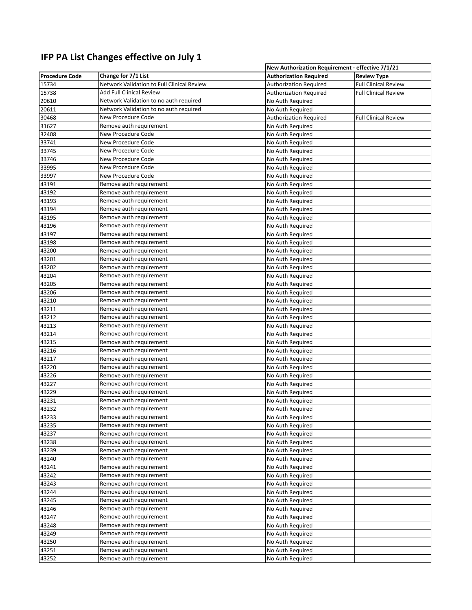## **IFP PA List Changes effective on July 1**

|                       |                                                    | New Authorization Requirement - effective 7/1/21 |                             |  |
|-----------------------|----------------------------------------------------|--------------------------------------------------|-----------------------------|--|
| <b>Procedure Code</b> | Change for 7/1 List                                | <b>Authorization Required</b>                    | <b>Review Type</b>          |  |
| 15734                 | Network Validation to Full Clinical Review         | <b>Authorization Required</b>                    | <b>Full Clinical Review</b> |  |
| 15738                 | Add Full Clinical Review                           | <b>Authorization Required</b>                    | <b>Full Clinical Review</b> |  |
| 20610                 | Network Validation to no auth required             | No Auth Required                                 |                             |  |
| 20611                 | Network Validation to no auth required             | No Auth Required                                 |                             |  |
| 30468                 | New Procedure Code                                 | <b>Authorization Required</b>                    | <b>Full Clinical Review</b> |  |
| 31627                 | Remove auth requirement                            | No Auth Required                                 |                             |  |
| 32408                 | New Procedure Code                                 | No Auth Required                                 |                             |  |
| 33741                 | New Procedure Code                                 | No Auth Required                                 |                             |  |
| 33745                 | New Procedure Code                                 | No Auth Required                                 |                             |  |
| 33746                 | New Procedure Code                                 | No Auth Required                                 |                             |  |
| 33995                 | New Procedure Code                                 | No Auth Required                                 |                             |  |
| 33997                 | New Procedure Code                                 | No Auth Required                                 |                             |  |
| 43191                 | Remove auth requirement                            | No Auth Required                                 |                             |  |
| 43192                 | Remove auth requirement                            | No Auth Required                                 |                             |  |
| 43193                 | Remove auth requirement                            | No Auth Required                                 |                             |  |
| 43194                 | Remove auth requirement                            | No Auth Required                                 |                             |  |
| 43195                 | Remove auth requirement                            | No Auth Required                                 |                             |  |
| 43196                 | Remove auth requirement                            | No Auth Required                                 |                             |  |
| 43197                 | Remove auth requirement                            | No Auth Required                                 |                             |  |
| 43198                 | Remove auth requirement                            | No Auth Required                                 |                             |  |
| 43200                 | Remove auth requirement                            | No Auth Required                                 |                             |  |
| 43201                 | Remove auth requirement                            | No Auth Required                                 |                             |  |
|                       | Remove auth requirement                            |                                                  |                             |  |
| 43202<br>43204        | Remove auth requirement                            | No Auth Required<br>No Auth Required             |                             |  |
| 43205                 | Remove auth requirement                            |                                                  |                             |  |
|                       |                                                    | No Auth Required                                 |                             |  |
| 43206                 | Remove auth requirement                            | No Auth Required                                 |                             |  |
| 43210                 | Remove auth requirement<br>Remove auth requirement | No Auth Required                                 |                             |  |
| 43211                 | Remove auth requirement                            | No Auth Required                                 |                             |  |
| 43212<br>43213        |                                                    | No Auth Required                                 |                             |  |
|                       | Remove auth requirement<br>Remove auth requirement | No Auth Required                                 |                             |  |
| 43214                 |                                                    | No Auth Required                                 |                             |  |
| 43215                 | Remove auth requirement                            | No Auth Required                                 |                             |  |
| 43216                 | Remove auth requirement<br>Remove auth requirement | No Auth Required                                 |                             |  |
| 43217                 |                                                    | No Auth Required                                 |                             |  |
| 43220                 | Remove auth requirement                            | No Auth Required                                 |                             |  |
| 43226                 | Remove auth requirement                            | No Auth Required                                 |                             |  |
| 43227                 | Remove auth requirement                            | No Auth Required                                 |                             |  |
| 43229                 | Remove auth requirement                            | No Auth Required                                 |                             |  |
| 43231                 | Remove auth requirement                            | No Auth Required                                 |                             |  |
| 43232                 | Remove auth requirement                            | No Auth Required                                 |                             |  |
| 43233                 | Remove auth requirement                            | No Auth Required                                 |                             |  |
| 43235                 | Remove auth requirement                            | No Auth Required                                 |                             |  |
| 43237                 | Remove auth requirement                            | No Auth Required                                 |                             |  |
| 43238                 | Remove auth requirement                            | No Auth Required                                 |                             |  |
| 43239                 | Remove auth requirement                            | No Auth Required                                 |                             |  |
| 43240                 | Remove auth requirement                            | No Auth Required                                 |                             |  |
| 43241                 | Remove auth requirement                            | No Auth Required                                 |                             |  |
| 43242                 | Remove auth requirement                            | No Auth Required                                 |                             |  |
| 43243                 | Remove auth requirement                            | No Auth Required                                 |                             |  |
| 43244                 | Remove auth requirement                            | No Auth Required                                 |                             |  |
| 43245                 | Remove auth requirement                            | No Auth Required                                 |                             |  |
| 43246                 | Remove auth requirement                            | No Auth Required                                 |                             |  |
| 43247                 | Remove auth requirement                            | No Auth Required                                 |                             |  |
| 43248                 | Remove auth requirement                            | No Auth Required                                 |                             |  |
| 43249                 | Remove auth requirement                            | No Auth Required                                 |                             |  |
| 43250                 | Remove auth requirement                            | No Auth Required                                 |                             |  |
| 43251                 | Remove auth requirement                            | No Auth Required                                 |                             |  |
| 43252                 | Remove auth requirement                            | No Auth Required                                 |                             |  |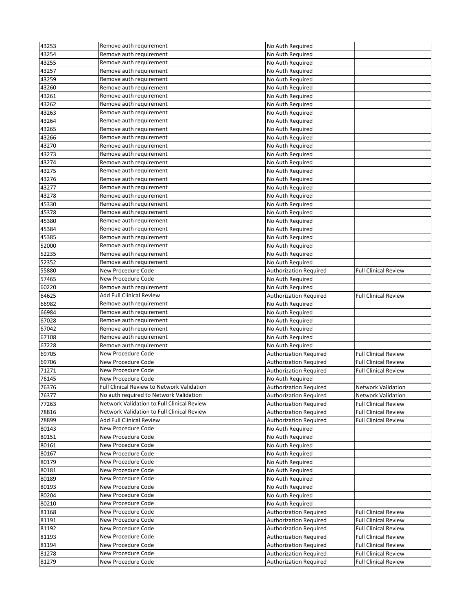| 43253 | Remove auth requirement                           | No Auth Required              |                             |
|-------|---------------------------------------------------|-------------------------------|-----------------------------|
| 43254 | Remove auth requirement                           | No Auth Required              |                             |
| 43255 | Remove auth requirement                           | No Auth Required              |                             |
| 43257 | Remove auth requirement                           | No Auth Required              |                             |
| 43259 | Remove auth requirement                           | No Auth Required              |                             |
| 43260 | Remove auth requirement                           | No Auth Required              |                             |
|       |                                                   |                               |                             |
| 43261 | Remove auth requirement                           | No Auth Required              |                             |
| 43262 | Remove auth requirement                           | No Auth Required              |                             |
| 43263 | Remove auth requirement                           | No Auth Required              |                             |
| 43264 | Remove auth requirement                           | No Auth Required              |                             |
| 43265 | Remove auth requirement                           | No Auth Required              |                             |
| 43266 | Remove auth requirement                           | No Auth Required              |                             |
| 43270 | Remove auth requirement                           | No Auth Required              |                             |
| 43273 | Remove auth requirement                           | No Auth Required              |                             |
| 43274 | Remove auth requirement                           | No Auth Required              |                             |
|       |                                                   |                               |                             |
| 43275 | Remove auth requirement                           | No Auth Required              |                             |
| 43276 | Remove auth requirement                           | No Auth Required              |                             |
| 43277 | Remove auth requirement                           | No Auth Required              |                             |
| 43278 | Remove auth requirement                           | No Auth Required              |                             |
| 45330 | Remove auth requirement                           | No Auth Required              |                             |
| 45378 | Remove auth requirement                           | No Auth Required              |                             |
| 45380 | Remove auth requirement                           | No Auth Required              |                             |
| 45384 | Remove auth requirement                           | No Auth Required              |                             |
| 45385 | Remove auth requirement                           | No Auth Required              |                             |
|       |                                                   |                               |                             |
| 52000 | Remove auth requirement                           | No Auth Required              |                             |
| 52235 | Remove auth requirement                           | No Auth Required              |                             |
| 52352 | Remove auth requirement                           | No Auth Required              |                             |
| 55880 | New Procedure Code                                | <b>Authorization Required</b> | <b>Full Clinical Review</b> |
| 57465 | New Procedure Code                                | No Auth Required              |                             |
| 60220 | Remove auth requirement                           | No Auth Required              |                             |
| 64625 | Add Full Clinical Review                          | <b>Authorization Required</b> | <b>Full Clinical Review</b> |
| 66982 | Remove auth requirement                           | No Auth Required              |                             |
| 66984 | Remove auth requirement                           | No Auth Required              |                             |
|       |                                                   |                               |                             |
| 67028 | Remove auth requirement                           | No Auth Required              |                             |
| 67042 | Remove auth requirement                           | No Auth Required              |                             |
| 67108 | Remove auth requirement                           | No Auth Required              |                             |
| 67228 | Remove auth requirement                           | No Auth Required              |                             |
| 69705 | New Procedure Code                                | <b>Authorization Required</b> | <b>Full Clinical Review</b> |
| 69706 | New Procedure Code                                | <b>Authorization Required</b> | <b>Full Clinical Review</b> |
| 71271 | New Procedure Code                                | <b>Authorization Required</b> | <b>Full Clinical Review</b> |
| 76145 | New Procedure Code                                | No Auth Required              |                             |
| 76376 | Full Clinical Review to Network Validation        |                               | <b>Network Validation</b>   |
|       |                                                   | <b>Authorization Required</b> |                             |
| 76377 | No auth required to Network Validation            | <b>Authorization Required</b> | <b>Network Validation</b>   |
| 77263 | Network Validation to Full Clinical Review        | <b>Authorization Required</b> | <b>Full Clinical Review</b> |
| 78816 | <b>Network Validation to Full Clinical Review</b> | <b>Authorization Required</b> | <b>Full Clinical Review</b> |
| 78899 | Add Full Clinical Review                          | <b>Authorization Required</b> | <b>Full Clinical Review</b> |
| 80143 | New Procedure Code                                | No Auth Required              |                             |
| 80151 | New Procedure Code                                | No Auth Required              |                             |
| 80161 | New Procedure Code                                | No Auth Required              |                             |
| 80167 | New Procedure Code                                | No Auth Required              |                             |
| 80179 | New Procedure Code                                | No Auth Required              |                             |
| 80181 | New Procedure Code                                | No Auth Required              |                             |
|       |                                                   |                               |                             |
| 80189 | New Procedure Code                                | No Auth Required              |                             |
| 80193 | New Procedure Code                                | No Auth Required              |                             |
| 80204 | New Procedure Code                                | No Auth Required              |                             |
| 80210 | New Procedure Code                                | No Auth Required              |                             |
| 81168 | New Procedure Code                                | <b>Authorization Required</b> | <b>Full Clinical Review</b> |
| 81191 | New Procedure Code                                | <b>Authorization Required</b> | <b>Full Clinical Review</b> |
| 81192 | New Procedure Code                                | <b>Authorization Required</b> | <b>Full Clinical Review</b> |
| 81193 | New Procedure Code                                | <b>Authorization Required</b> | <b>Full Clinical Review</b> |
| 81194 | New Procedure Code                                | <b>Authorization Required</b> | <b>Full Clinical Review</b> |
|       |                                                   |                               |                             |
| 81278 | New Procedure Code                                | <b>Authorization Required</b> | <b>Full Clinical Review</b> |
| 81279 | New Procedure Code                                | <b>Authorization Required</b> | <b>Full Clinical Review</b> |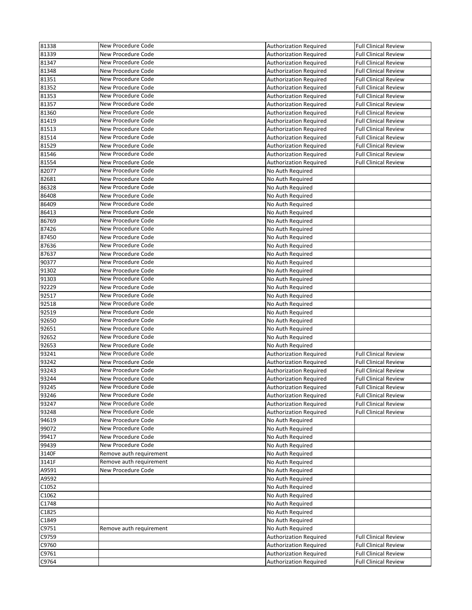| 81338 | New Procedure Code      | <b>Authorization Required</b> | <b>Full Clinical Review</b> |
|-------|-------------------------|-------------------------------|-----------------------------|
| 81339 | New Procedure Code      | Authorization Required        | <b>Full Clinical Review</b> |
| 81347 | New Procedure Code      | <b>Authorization Required</b> | <b>Full Clinical Review</b> |
| 81348 | New Procedure Code      | <b>Authorization Required</b> | <b>Full Clinical Review</b> |
| 81351 | New Procedure Code      | <b>Authorization Required</b> | <b>Full Clinical Review</b> |
| 81352 | New Procedure Code      | <b>Authorization Required</b> | <b>Full Clinical Review</b> |
| 81353 | New Procedure Code      | <b>Authorization Required</b> | <b>Full Clinical Review</b> |
| 81357 | New Procedure Code      | <b>Authorization Required</b> | <b>Full Clinical Review</b> |
| 81360 | New Procedure Code      | <b>Authorization Required</b> | <b>Full Clinical Review</b> |
| 81419 | New Procedure Code      | <b>Authorization Required</b> | <b>Full Clinical Review</b> |
| 81513 | New Procedure Code      | <b>Authorization Required</b> | <b>Full Clinical Review</b> |
| 81514 | New Procedure Code      | <b>Authorization Required</b> | <b>Full Clinical Review</b> |
| 81529 | New Procedure Code      | <b>Authorization Required</b> | <b>Full Clinical Review</b> |
| 81546 | New Procedure Code      | <b>Authorization Required</b> | <b>Full Clinical Review</b> |
| 81554 | New Procedure Code      | <b>Authorization Required</b> | <b>Full Clinical Review</b> |
| 82077 | New Procedure Code      | No Auth Required              |                             |
| 82681 | New Procedure Code      | No Auth Required              |                             |
| 86328 | New Procedure Code      | No Auth Required              |                             |
| 86408 | New Procedure Code      | No Auth Required              |                             |
| 86409 | New Procedure Code      | No Auth Required              |                             |
| 86413 | New Procedure Code      | No Auth Required              |                             |
| 86769 | New Procedure Code      | No Auth Required              |                             |
| 87426 | New Procedure Code      | No Auth Required              |                             |
| 87450 | New Procedure Code      | No Auth Required              |                             |
| 87636 | New Procedure Code      | No Auth Required              |                             |
| 87637 | New Procedure Code      | No Auth Required              |                             |
| 90377 | New Procedure Code      | No Auth Required              |                             |
| 91302 | New Procedure Code      | No Auth Required              |                             |
| 91303 | New Procedure Code      | No Auth Required              |                             |
| 92229 | New Procedure Code      | No Auth Required              |                             |
| 92517 | New Procedure Code      | No Auth Required              |                             |
| 92518 | New Procedure Code      | No Auth Required              |                             |
| 92519 | New Procedure Code      | No Auth Required              |                             |
| 92650 | New Procedure Code      | No Auth Required              |                             |
| 92651 | New Procedure Code      | No Auth Required              |                             |
| 92652 | New Procedure Code      | No Auth Required              |                             |
| 92653 | New Procedure Code      | No Auth Required              |                             |
| 93241 | New Procedure Code      | <b>Authorization Required</b> | <b>Full Clinical Review</b> |
| 93242 | New Procedure Code      | <b>Authorization Required</b> | <b>Full Clinical Review</b> |
| 93243 | New Procedure Code      | <b>Authorization Required</b> | <b>Full Clinical Review</b> |
| 93244 | New Procedure Code      | <b>Authorization Required</b> | <b>Full Clinical Review</b> |
| 93245 | New Procedure Code      | Authorization Required        | <b>Full Clinical Review</b> |
| 93246 | New Procedure Code      | <b>Authorization Required</b> | <b>Full Clinical Review</b> |
| 93247 | New Procedure Code      | <b>Authorization Required</b> | <b>Full Clinical Review</b> |
| 93248 | New Procedure Code      | <b>Authorization Required</b> | <b>Full Clinical Review</b> |
| 94619 | New Procedure Code      | No Auth Required              |                             |
| 99072 | New Procedure Code      | No Auth Required              |                             |
| 99417 | New Procedure Code      | No Auth Required              |                             |
| 99439 | New Procedure Code      | No Auth Required              |                             |
| 3140F | Remove auth requirement | No Auth Required              |                             |
| 3141F | Remove auth requirement | No Auth Required              |                             |
| A9591 | New Procedure Code      | No Auth Required              |                             |
| A9592 |                         | No Auth Required              |                             |
| C1052 |                         | No Auth Required              |                             |
| C1062 |                         | No Auth Required              |                             |
| C1748 |                         | No Auth Required              |                             |
| C1825 |                         | No Auth Required              |                             |
| C1849 |                         | No Auth Required              |                             |
| C9751 | Remove auth requirement | No Auth Required              |                             |
| C9759 |                         | <b>Authorization Required</b> | <b>Full Clinical Review</b> |
| C9760 |                         | <b>Authorization Required</b> | <b>Full Clinical Review</b> |
| C9761 |                         | <b>Authorization Required</b> | <b>Full Clinical Review</b> |
|       |                         |                               |                             |
| C9764 |                         | <b>Authorization Required</b> | <b>Full Clinical Review</b> |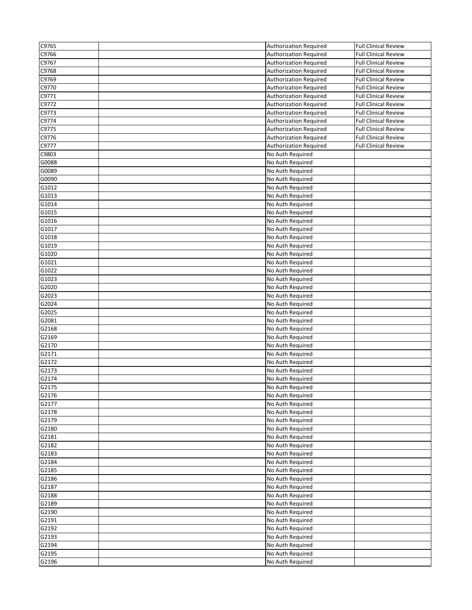| C9765              | <b>Authorization Required</b> | <b>Full Clinical Review</b> |
|--------------------|-------------------------------|-----------------------------|
| C9766              | <b>Authorization Required</b> | <b>Full Clinical Review</b> |
| C9767              | <b>Authorization Required</b> | <b>Full Clinical Review</b> |
| C9768              | <b>Authorization Required</b> | <b>Full Clinical Review</b> |
| C9769              | <b>Authorization Required</b> | <b>Full Clinical Review</b> |
| C9770              | <b>Authorization Required</b> | <b>Full Clinical Review</b> |
| C9771              | <b>Authorization Required</b> | <b>Full Clinical Review</b> |
| C9772              | <b>Authorization Required</b> | <b>Full Clinical Review</b> |
| C9773              | <b>Authorization Required</b> | <b>Full Clinical Review</b> |
| C9774              | <b>Authorization Required</b> | <b>Full Clinical Review</b> |
| C9775              | <b>Authorization Required</b> | <b>Full Clinical Review</b> |
| C9776              | <b>Authorization Required</b> | <b>Full Clinical Review</b> |
| C9777              | <b>Authorization Required</b> | <b>Full Clinical Review</b> |
| C9803              | No Auth Required              |                             |
| G0088              | No Auth Required              |                             |
| G0089              | No Auth Required              |                             |
| G0090              | No Auth Required              |                             |
| G1012              | No Auth Required              |                             |
| G1013              | No Auth Required              |                             |
| G1014              | No Auth Required              |                             |
| G1015              | No Auth Required              |                             |
| G1016              | No Auth Required              |                             |
| G1017              | No Auth Required              |                             |
| G1018              | No Auth Required              |                             |
| G1019              | No Auth Required              |                             |
| G1020              | No Auth Required              |                             |
| G1021              | No Auth Required              |                             |
| G1022              | No Auth Required              |                             |
| G1023              | No Auth Required              |                             |
| G2020              | No Auth Required              |                             |
| G2023              | No Auth Required              |                             |
| G2024              | No Auth Required              |                             |
| G2025              | No Auth Required              |                             |
| G2081              | No Auth Required              |                             |
| G2168              | No Auth Required              |                             |
| G2169              | No Auth Required              |                             |
| G2170              | No Auth Required              |                             |
| G2171              | No Auth Required              |                             |
| G2172              | No Auth Required              |                             |
| G2173              | No Auth Required              |                             |
| G2174              | No Auth Required              |                             |
| $\overline{G2175}$ | No Auth Required              |                             |
| G2176              | No Auth Required              |                             |
| G2177              | No Auth Required              |                             |
| G2178              | No Auth Required              |                             |
| G2179              | No Auth Required              |                             |
| G2180              | No Auth Required              |                             |
| G2181              | No Auth Required              |                             |
| G2182              | No Auth Required              |                             |
| G2183              | No Auth Required              |                             |
| G2184              | No Auth Required              |                             |
| G2185              | No Auth Required              |                             |
| G2186              | No Auth Required              |                             |
| G2187              | No Auth Required              |                             |
| G2188              | No Auth Required              |                             |
| G2189              | No Auth Required              |                             |
| G2190              | No Auth Required              |                             |
| G2191              | No Auth Required              |                             |
| G2192              | No Auth Required              |                             |
|                    |                               |                             |
| G2193              | No Auth Required              |                             |
| G2194<br>G2195     | No Auth Required              |                             |
|                    | No Auth Required              |                             |
| G2196              | No Auth Required              |                             |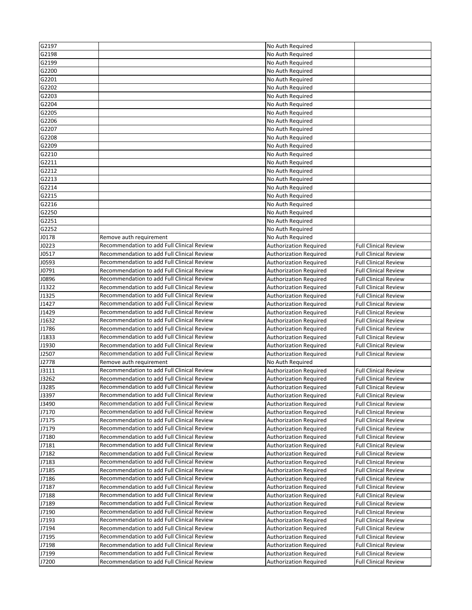| G2197 |                                                   | No Auth Required              |                             |
|-------|---------------------------------------------------|-------------------------------|-----------------------------|
|       |                                                   |                               |                             |
| G2198 |                                                   | No Auth Required              |                             |
| G2199 |                                                   | No Auth Required              |                             |
| G2200 |                                                   | No Auth Required              |                             |
| G2201 |                                                   | No Auth Required              |                             |
| G2202 |                                                   | No Auth Required              |                             |
| G2203 |                                                   | No Auth Required              |                             |
| G2204 |                                                   | No Auth Required              |                             |
| G2205 |                                                   | No Auth Required              |                             |
| G2206 |                                                   |                               |                             |
|       |                                                   | No Auth Required              |                             |
| G2207 |                                                   | No Auth Required              |                             |
| G2208 |                                                   | No Auth Required              |                             |
| G2209 |                                                   | No Auth Required              |                             |
| G2210 |                                                   | No Auth Required              |                             |
| G2211 |                                                   | No Auth Required              |                             |
| G2212 |                                                   | No Auth Required              |                             |
| G2213 |                                                   | No Auth Required              |                             |
| G2214 |                                                   | No Auth Required              |                             |
|       |                                                   |                               |                             |
| G2215 |                                                   | No Auth Required              |                             |
| G2216 |                                                   | No Auth Required              |                             |
| G2250 |                                                   | No Auth Required              |                             |
| G2251 |                                                   | No Auth Required              |                             |
| G2252 |                                                   | No Auth Required              |                             |
| J0178 | Remove auth requirement                           | No Auth Required              |                             |
| J0223 | Recommendation to add Full Clinical Review        | <b>Authorization Required</b> | <b>Full Clinical Review</b> |
| J0517 | Recommendation to add Full Clinical Review        | <b>Authorization Required</b> | <b>Full Clinical Review</b> |
|       | Recommendation to add Full Clinical Review        |                               |                             |
| J0593 |                                                   | <b>Authorization Required</b> | <b>Full Clinical Review</b> |
| J0791 | Recommendation to add Full Clinical Review        | <b>Authorization Required</b> | <b>Full Clinical Review</b> |
| J0896 | Recommendation to add Full Clinical Review        | <b>Authorization Required</b> | <b>Full Clinical Review</b> |
| J1322 | Recommendation to add Full Clinical Review        | <b>Authorization Required</b> | <b>Full Clinical Review</b> |
| J1325 | Recommendation to add Full Clinical Review        | <b>Authorization Required</b> | <b>Full Clinical Review</b> |
| J1427 | Recommendation to add Full Clinical Review        | <b>Authorization Required</b> | <b>Full Clinical Review</b> |
| J1429 | Recommendation to add Full Clinical Review        | <b>Authorization Required</b> | <b>Full Clinical Review</b> |
| J1632 | Recommendation to add Full Clinical Review        | <b>Authorization Required</b> | <b>Full Clinical Review</b> |
| J1786 | Recommendation to add Full Clinical Review        | <b>Authorization Required</b> | <b>Full Clinical Review</b> |
| J1833 | Recommendation to add Full Clinical Review        |                               | <b>Full Clinical Review</b> |
|       |                                                   | <b>Authorization Required</b> |                             |
| J1930 | <b>Recommendation to add Full Clinical Review</b> | <b>Authorization Required</b> | <b>Full Clinical Review</b> |
| J2507 | <b>Recommendation to add Full Clinical Review</b> | <b>Authorization Required</b> | <b>Full Clinical Review</b> |
| J2778 | Remove auth requirement                           | No Auth Required              |                             |
| J3111 | Recommendation to add Full Clinical Review        | Authorization Required        | <b>Full Clinical Review</b> |
| J3262 | Recommendation to add Full Clinical Review        | <b>Authorization Required</b> | <b>Full Clinical Review</b> |
| J3285 | Recommendation to add Full Clinical Review        | <b>Authorization Required</b> | <b>Full Clinical Review</b> |
| J3397 | Recommendation to add Full Clinical Review        | <b>Authorization Required</b> | Full Clinical Review        |
| J3490 | <b>Recommendation to add Full Clinical Review</b> | <b>Authorization Required</b> | <b>Full Clinical Review</b> |
| J7170 | Recommendation to add Full Clinical Review        |                               | <b>Full Clinical Review</b> |
|       |                                                   | <b>Authorization Required</b> |                             |
| J7175 | Recommendation to add Full Clinical Review        | Authorization Required        | <b>Full Clinical Review</b> |
| J7179 | Recommendation to add Full Clinical Review        | <b>Authorization Required</b> | <b>Full Clinical Review</b> |
| J7180 | <b>Recommendation to add Full Clinical Review</b> | <b>Authorization Required</b> | <b>Full Clinical Review</b> |
| J7181 | <b>Recommendation to add Full Clinical Review</b> | <b>Authorization Required</b> | <b>Full Clinical Review</b> |
| J7182 | Recommendation to add Full Clinical Review        | <b>Authorization Required</b> | <b>Full Clinical Review</b> |
| J7183 | Recommendation to add Full Clinical Review        | Authorization Required        | <b>Full Clinical Review</b> |
| J7185 | Recommendation to add Full Clinical Review        | <b>Authorization Required</b> | <b>Full Clinical Review</b> |
| J7186 | Recommendation to add Full Clinical Review        | <b>Authorization Required</b> | <b>Full Clinical Review</b> |
| J7187 | Recommendation to add Full Clinical Review        |                               | <b>Full Clinical Review</b> |
|       |                                                   | <b>Authorization Required</b> |                             |
| J7188 | Recommendation to add Full Clinical Review        | <b>Authorization Required</b> | <b>Full Clinical Review</b> |
| J7189 | Recommendation to add Full Clinical Review        | Authorization Required        | <b>Full Clinical Review</b> |
| J7190 | Recommendation to add Full Clinical Review        | Authorization Required        | <b>Full Clinical Review</b> |
| J7193 | Recommendation to add Full Clinical Review        | Authorization Required        | <b>Full Clinical Review</b> |
| J7194 | Recommendation to add Full Clinical Review        | <b>Authorization Required</b> | <b>Full Clinical Review</b> |
| J7195 | Recommendation to add Full Clinical Review        | <b>Authorization Required</b> | <b>Full Clinical Review</b> |
| J7198 | Recommendation to add Full Clinical Review        | <b>Authorization Required</b> | <b>Full Clinical Review</b> |
| J7199 | Recommendation to add Full Clinical Review        | <b>Authorization Required</b> | <b>Full Clinical Review</b> |
|       |                                                   |                               |                             |
| J7200 | Recommendation to add Full Clinical Review        | <b>Authorization Required</b> | <b>Full Clinical Review</b> |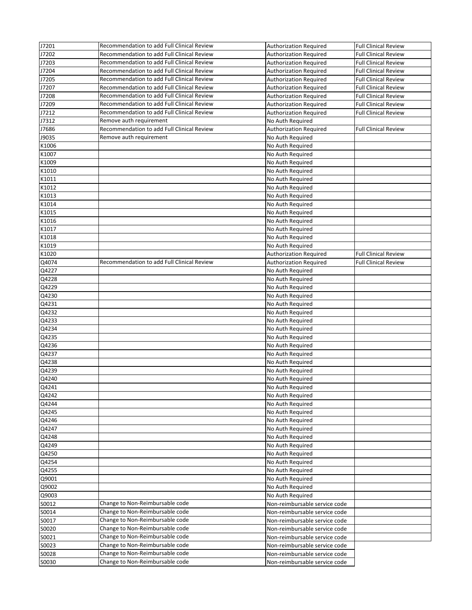| J7201 | Recommendation to add Full Clinical Review | <b>Authorization Required</b> | <b>Full Clinical Review</b> |
|-------|--------------------------------------------|-------------------------------|-----------------------------|
| J7202 | Recommendation to add Full Clinical Review | <b>Authorization Required</b> | <b>Full Clinical Review</b> |
| J7203 | Recommendation to add Full Clinical Review | <b>Authorization Required</b> | <b>Full Clinical Review</b> |
| J7204 | Recommendation to add Full Clinical Review | <b>Authorization Required</b> | Full Clinical Review        |
| J7205 | Recommendation to add Full Clinical Review | <b>Authorization Required</b> | <b>Full Clinical Review</b> |
| J7207 | Recommendation to add Full Clinical Review | <b>Authorization Required</b> | <b>Full Clinical Review</b> |
| J7208 | Recommendation to add Full Clinical Review | <b>Authorization Required</b> | <b>Full Clinical Review</b> |
| J7209 | Recommendation to add Full Clinical Review | <b>Authorization Required</b> | <b>Full Clinical Review</b> |
| J7212 | Recommendation to add Full Clinical Review | <b>Authorization Required</b> | <b>Full Clinical Review</b> |
| J7312 | Remove auth requirement                    | No Auth Required              |                             |
| J7686 | Recommendation to add Full Clinical Review | <b>Authorization Required</b> | <b>Full Clinical Review</b> |
| J9035 | Remove auth requirement                    | No Auth Required              |                             |
| K1006 |                                            | No Auth Required              |                             |
| K1007 |                                            | No Auth Required              |                             |
| K1009 |                                            | No Auth Required              |                             |
| K1010 |                                            | No Auth Required              |                             |
| K1011 |                                            | No Auth Required              |                             |
| K1012 |                                            | No Auth Required              |                             |
| K1013 |                                            | No Auth Required              |                             |
| K1014 |                                            | No Auth Required              |                             |
| K1015 |                                            | No Auth Required              |                             |
| K1016 |                                            | No Auth Required              |                             |
| K1017 |                                            | No Auth Required              |                             |
| K1018 |                                            | No Auth Required              |                             |
| K1019 |                                            | No Auth Required              |                             |
| K1020 |                                            | <b>Authorization Required</b> | <b>Full Clinical Review</b> |
| Q4074 | Recommendation to add Full Clinical Review | <b>Authorization Required</b> | <b>Full Clinical Review</b> |
| Q4227 |                                            | No Auth Required              |                             |
| Q4228 |                                            | No Auth Required              |                             |
| Q4229 |                                            | No Auth Required              |                             |
| Q4230 |                                            | No Auth Required              |                             |
| Q4231 |                                            | No Auth Required              |                             |
| Q4232 |                                            | No Auth Required              |                             |
| Q4233 |                                            | No Auth Required              |                             |
| Q4234 |                                            | No Auth Required              |                             |
| Q4235 |                                            | No Auth Required              |                             |
| Q4236 |                                            | No Auth Required              |                             |
| Q4237 |                                            | No Auth Required              |                             |
| Q4238 |                                            | No Auth Required              |                             |
| Q4239 |                                            | No Auth Required              |                             |
| Q4240 |                                            | No Auth Required              |                             |
| Q4241 |                                            | No Auth Required              |                             |
| Q4242 |                                            | No Auth Required              |                             |
| Q4244 |                                            | No Auth Required              |                             |
| Q4245 |                                            | No Auth Required              |                             |
| Q4246 |                                            | No Auth Required              |                             |
| Q4247 |                                            | No Auth Required              |                             |
| Q4248 |                                            | No Auth Required              |                             |
| Q4249 |                                            | No Auth Required              |                             |
| Q4250 |                                            | No Auth Required              |                             |
| Q4254 |                                            | No Auth Required              |                             |
| Q4255 |                                            | No Auth Required              |                             |
| Q9001 |                                            | No Auth Required              |                             |
| Q9002 |                                            | No Auth Required              |                             |
| Q9003 |                                            | No Auth Required              |                             |
| S0012 | Change to Non-Reimbursable code            | Non-reimbursable service code |                             |
| S0014 | Change to Non-Reimbursable code            | Non-reimbursable service code |                             |
| S0017 | Change to Non-Reimbursable code            | Non-reimbursable service code |                             |
| S0020 | Change to Non-Reimbursable code            | Non-reimbursable service code |                             |
| S0021 | Change to Non-Reimbursable code            | Non-reimbursable service code |                             |
| S0023 | Change to Non-Reimbursable code            | Non-reimbursable service code |                             |
| S0028 | Change to Non-Reimbursable code            | Non-reimbursable service code |                             |
|       | Change to Non-Reimbursable code            | Non-reimbursable service code |                             |
| S0030 |                                            |                               |                             |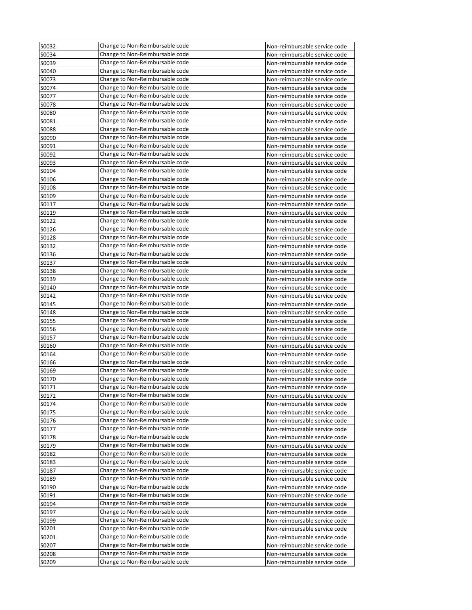| S0032 | Change to Non-Reimbursable code | Non-reimbursable service code |
|-------|---------------------------------|-------------------------------|
| S0034 | Change to Non-Reimbursable code | Non-reimbursable service code |
| S0039 | Change to Non-Reimbursable code | Non-reimbursable service code |
| S0040 | Change to Non-Reimbursable code | Non-reimbursable service code |
| S0073 | Change to Non-Reimbursable code | Non-reimbursable service code |
| S0074 | Change to Non-Reimbursable code | Non-reimbursable service code |
| S0077 | Change to Non-Reimbursable code | Non-reimbursable service code |
| S0078 | Change to Non-Reimbursable code | Non-reimbursable service code |
| S0080 | Change to Non-Reimbursable code | Non-reimbursable service code |
| S0081 | Change to Non-Reimbursable code | Non-reimbursable service code |
| S0088 | Change to Non-Reimbursable code | Non-reimbursable service code |
| S0090 | Change to Non-Reimbursable code | Non-reimbursable service code |
| S0091 | Change to Non-Reimbursable code | Non-reimbursable service code |
| S0092 | Change to Non-Reimbursable code | Non-reimbursable service code |
| S0093 | Change to Non-Reimbursable code | Non-reimbursable service code |
| S0104 | Change to Non-Reimbursable code | Non-reimbursable service code |
| S0106 | Change to Non-Reimbursable code | Non-reimbursable service code |
| S0108 | Change to Non-Reimbursable code | Non-reimbursable service code |
| S0109 | Change to Non-Reimbursable code | Non-reimbursable service code |
| S0117 | Change to Non-Reimbursable code | Non-reimbursable service code |
| S0119 | Change to Non-Reimbursable code | Non-reimbursable service code |
| S0122 | Change to Non-Reimbursable code | Non-reimbursable service code |
| S0126 | Change to Non-Reimbursable code | Non-reimbursable service code |
| S0128 | Change to Non-Reimbursable code | Non-reimbursable service code |
| S0132 | Change to Non-Reimbursable code | Non-reimbursable service code |
| S0136 | Change to Non-Reimbursable code | Non-reimbursable service code |
| S0137 | Change to Non-Reimbursable code | Non-reimbursable service code |
| S0138 | Change to Non-Reimbursable code | Non-reimbursable service code |
| S0139 | Change to Non-Reimbursable code | Non-reimbursable service code |
| S0140 | Change to Non-Reimbursable code | Non-reimbursable service code |
| S0142 | Change to Non-Reimbursable code | Non-reimbursable service code |
| S0145 | Change to Non-Reimbursable code | Non-reimbursable service code |
| S0148 | Change to Non-Reimbursable code | Non-reimbursable service code |
| S0155 | Change to Non-Reimbursable code | Non-reimbursable service code |
| S0156 | Change to Non-Reimbursable code | Non-reimbursable service code |
| S0157 | Change to Non-Reimbursable code | Non-reimbursable service code |
| S0160 | Change to Non-Reimbursable code | Non-reimbursable service code |
| S0164 | Change to Non-Reimbursable code | Non-reimbursable service code |
| S0166 | Change to Non-Reimbursable code | Non-reimbursable service code |
| S0169 | Change to Non-Reimbursable code | Non-reimbursable service code |
| S0170 | Change to Non-Reimbursable code | Non-reimbursable service code |
| S0171 | Change to Non-Reimbursable code | Non-reimbursable service code |
| S0172 | Change to Non-Reimbursable code | Non-reimbursable service code |
| S0174 | Change to Non-Reimbursable code | Non-reimbursable service code |
| S0175 | Change to Non-Reimbursable code | Non-reimbursable service code |
| S0176 | Change to Non-Reimbursable code | Non-reimbursable service code |
| S0177 | Change to Non-Reimbursable code | Non-reimbursable service code |
| S0178 | Change to Non-Reimbursable code | Non-reimbursable service code |
| S0179 | Change to Non-Reimbursable code | Non-reimbursable service code |
| S0182 | Change to Non-Reimbursable code | Non-reimbursable service code |
| S0183 | Change to Non-Reimbursable code | Non-reimbursable service code |
| S0187 | Change to Non-Reimbursable code | Non-reimbursable service code |
| S0189 | Change to Non-Reimbursable code | Non-reimbursable service code |
| S0190 | Change to Non-Reimbursable code | Non-reimbursable service code |
| SO191 | Change to Non-Reimbursable code | Non-reimbursable service code |
| S0194 | Change to Non-Reimbursable code | Non-reimbursable service code |
| S0197 | Change to Non-Reimbursable code | Non-reimbursable service code |
| S0199 | Change to Non-Reimbursable code | Non-reimbursable service code |
| SO201 | Change to Non-Reimbursable code | Non-reimbursable service code |
| SO201 | Change to Non-Reimbursable code | Non-reimbursable service code |
| S0207 | Change to Non-Reimbursable code | Non-reimbursable service code |
| S0208 | Change to Non-Reimbursable code | Non-reimbursable service code |
| S0209 | Change to Non-Reimbursable code | Non-reimbursable service code |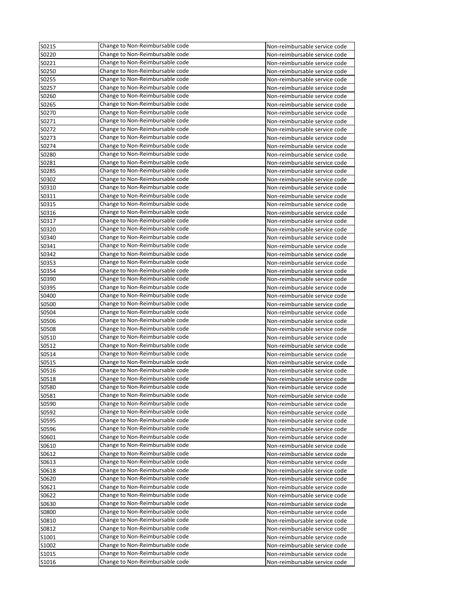| S0215          | Change to Non-Reimbursable code | Non-reimbursable service code |
|----------------|---------------------------------|-------------------------------|
| S0220          | Change to Non-Reimbursable code | Non-reimbursable service code |
| S0221          | Change to Non-Reimbursable code | Non-reimbursable service code |
| S0250          | Change to Non-Reimbursable code | Non-reimbursable service code |
| S0255          | Change to Non-Reimbursable code | Non-reimbursable service code |
| S0257          | Change to Non-Reimbursable code | Non-reimbursable service code |
| S0260          | Change to Non-Reimbursable code | Non-reimbursable service code |
| S0265          | Change to Non-Reimbursable code | Non-reimbursable service code |
| S0270          | Change to Non-Reimbursable code | Non-reimbursable service code |
| S0271          | Change to Non-Reimbursable code | Non-reimbursable service code |
| S0272          | Change to Non-Reimbursable code | Non-reimbursable service code |
| S0273          | Change to Non-Reimbursable code | Non-reimbursable service code |
| S0274          | Change to Non-Reimbursable code | Non-reimbursable service code |
| S0280          | Change to Non-Reimbursable code | Non-reimbursable service code |
| S0281          | Change to Non-Reimbursable code | Non-reimbursable service code |
| S0285          | Change to Non-Reimbursable code | Non-reimbursable service code |
| S0302          | Change to Non-Reimbursable code | Non-reimbursable service code |
| S0310          | Change to Non-Reimbursable code | Non-reimbursable service code |
| S0311          | Change to Non-Reimbursable code | Non-reimbursable service code |
| S0315          | Change to Non-Reimbursable code | Non-reimbursable service code |
| S0316          | Change to Non-Reimbursable code | Non-reimbursable service code |
| S0317          | Change to Non-Reimbursable code | Non-reimbursable service code |
| S0320          | Change to Non-Reimbursable code | Non-reimbursable service code |
| S0340          | Change to Non-Reimbursable code | Non-reimbursable service code |
| S0341          | Change to Non-Reimbursable code | Non-reimbursable service code |
| S0342          | Change to Non-Reimbursable code | Non-reimbursable service code |
| S0353          | Change to Non-Reimbursable code | Non-reimbursable service code |
| S0354          | Change to Non-Reimbursable code | Non-reimbursable service code |
| S0390          | Change to Non-Reimbursable code | Non-reimbursable service code |
| S0395          | Change to Non-Reimbursable code | Non-reimbursable service code |
| S0400          | Change to Non-Reimbursable code | Non-reimbursable service code |
| S0500          | Change to Non-Reimbursable code | Non-reimbursable service code |
| S0504          | Change to Non-Reimbursable code | Non-reimbursable service code |
| S0506          | Change to Non-Reimbursable code | Non-reimbursable service code |
| S0508          | Change to Non-Reimbursable code | Non-reimbursable service code |
| S0510          | Change to Non-Reimbursable code |                               |
|                | Change to Non-Reimbursable code | Non-reimbursable service code |
| S0512<br>S0514 | Change to Non-Reimbursable code | Non-reimbursable service code |
|                | Change to Non-Reimbursable code | Non-reimbursable service code |
| S0515          |                                 | Non-reimbursable service code |
| S0516          | Change to Non-Reimbursable code | Non-reimbursable service code |
| S0518          | Change to Non-Reimbursable code | Non-reimbursable service code |
| S0580          | Change to Non-Reimbursable code | Non-reimbursable service code |
| S0581          | Change to Non-Reimbursable code | Non-reimbursable service code |
| S0590          | Change to Non-Reimbursable code | Non-reimbursable service code |
| S0592          | Change to Non-Reimbursable code | Non-reimbursable service code |
| S0595          | Change to Non-Reimbursable code | Non-reimbursable service code |
| S0596          | Change to Non-Reimbursable code | Non-reimbursable service code |
| S0601          | Change to Non-Reimbursable code | Non-reimbursable service code |
| S0610          | Change to Non-Reimbursable code | Non-reimbursable service code |
| S0612          | Change to Non-Reimbursable code | Non-reimbursable service code |
| S0613          | Change to Non-Reimbursable code | Non-reimbursable service code |
| S0618          | Change to Non-Reimbursable code | Non-reimbursable service code |
| S0620          | Change to Non-Reimbursable code | Non-reimbursable service code |
| S0621          | Change to Non-Reimbursable code | Non-reimbursable service code |
| S0622          | Change to Non-Reimbursable code | Non-reimbursable service code |
| S0630          | Change to Non-Reimbursable code | Non-reimbursable service code |
| S0800          | Change to Non-Reimbursable code | Non-reimbursable service code |
| S0810          | Change to Non-Reimbursable code | Non-reimbursable service code |
| S0812          | Change to Non-Reimbursable code | Non-reimbursable service code |
| S1001          | Change to Non-Reimbursable code | Non-reimbursable service code |
| S1002          | Change to Non-Reimbursable code | Non-reimbursable service code |
| S1015          | Change to Non-Reimbursable code | Non-reimbursable service code |
| S1016          | Change to Non-Reimbursable code | Non-reimbursable service code |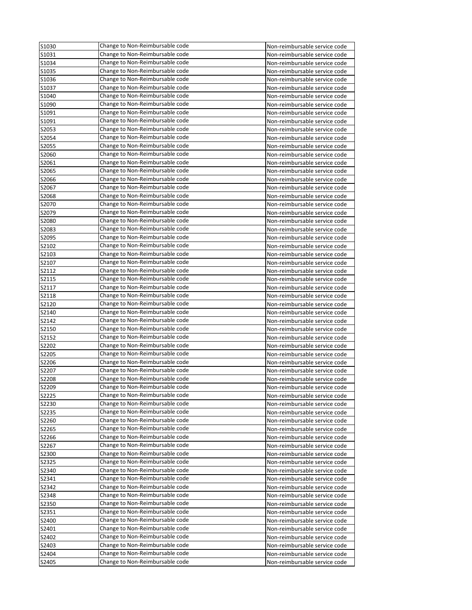| S1030          | Change to Non-Reimbursable code | Non-reimbursable service code                                  |
|----------------|---------------------------------|----------------------------------------------------------------|
| S1031          | Change to Non-Reimbursable code | Non-reimbursable service code                                  |
| S1034          | Change to Non-Reimbursable code | Non-reimbursable service code                                  |
| S1035          | Change to Non-Reimbursable code | Non-reimbursable service code                                  |
| S1036          | Change to Non-Reimbursable code | Non-reimbursable service code                                  |
| S1037          | Change to Non-Reimbursable code | Non-reimbursable service code                                  |
| S1040          | Change to Non-Reimbursable code | Non-reimbursable service code                                  |
| S1090          | Change to Non-Reimbursable code | Non-reimbursable service code                                  |
| S1091          | Change to Non-Reimbursable code | Non-reimbursable service code                                  |
| S1091          | Change to Non-Reimbursable code | Non-reimbursable service code                                  |
| S2053          | Change to Non-Reimbursable code | Non-reimbursable service code                                  |
| S2054          | Change to Non-Reimbursable code | Non-reimbursable service code                                  |
| S2055          | Change to Non-Reimbursable code | Non-reimbursable service code                                  |
| S2060          | Change to Non-Reimbursable code | Non-reimbursable service code                                  |
| S2061          | Change to Non-Reimbursable code | Non-reimbursable service code                                  |
| S2065          | Change to Non-Reimbursable code | Non-reimbursable service code                                  |
| S2066          | Change to Non-Reimbursable code | Non-reimbursable service code                                  |
| S2067          | Change to Non-Reimbursable code | Non-reimbursable service code                                  |
| S2068          | Change to Non-Reimbursable code | Non-reimbursable service code                                  |
| S2070          | Change to Non-Reimbursable code | Non-reimbursable service code                                  |
| S2079          | Change to Non-Reimbursable code | Non-reimbursable service code                                  |
| S2080          | Change to Non-Reimbursable code | Non-reimbursable service code                                  |
| S2083          | Change to Non-Reimbursable code | Non-reimbursable service code                                  |
| S2095          | Change to Non-Reimbursable code | Non-reimbursable service code                                  |
| S2102          | Change to Non-Reimbursable code | Non-reimbursable service code                                  |
| S2103          | Change to Non-Reimbursable code | Non-reimbursable service code                                  |
| S2107          | Change to Non-Reimbursable code | Non-reimbursable service code                                  |
| S2112          | Change to Non-Reimbursable code | Non-reimbursable service code                                  |
| S2115          | Change to Non-Reimbursable code | Non-reimbursable service code                                  |
| S2117          | Change to Non-Reimbursable code | Non-reimbursable service code                                  |
| S2118          | Change to Non-Reimbursable code |                                                                |
|                | Change to Non-Reimbursable code | Non-reimbursable service code                                  |
| S2120<br>S2140 | Change to Non-Reimbursable code | Non-reimbursable service code<br>Non-reimbursable service code |
| S2142          | Change to Non-Reimbursable code | Non-reimbursable service code                                  |
| S2150          | Change to Non-Reimbursable code | Non-reimbursable service code                                  |
| S2152          | Change to Non-Reimbursable code | Non-reimbursable service code                                  |
|                | Change to Non-Reimbursable code |                                                                |
| S2202<br>S2205 | Change to Non-Reimbursable code | Non-reimbursable service code<br>Non-reimbursable service code |
| S2206          | Change to Non-Reimbursable code | Non-reimbursable service code                                  |
| S2207          | Change to Non-Reimbursable code | Non-reimbursable service code                                  |
| S2208          | Change to Non-Reimbursable code |                                                                |
|                | Change to Non-Reimbursable code | Non-reimbursable service code                                  |
| S2209          |                                 | Non-reimbursable service code                                  |
| S2225          | Change to Non-Reimbursable code | Non-reimbursable service code                                  |
| S2230          | Change to Non-Reimbursable code | Non-reimbursable service code                                  |
| S2235          | Change to Non-Reimbursable code | Non-reimbursable service code                                  |
| S2260          | Change to Non-Reimbursable code | Non-reimbursable service code                                  |
| S2265          | Change to Non-Reimbursable code | Non-reimbursable service code                                  |
| S2266          | Change to Non-Reimbursable code | Non-reimbursable service code                                  |
| S2267          | Change to Non-Reimbursable code | Non-reimbursable service code                                  |
| S2300          | Change to Non-Reimbursable code | Non-reimbursable service code                                  |
| S2325          | Change to Non-Reimbursable code | Non-reimbursable service code                                  |
| S2340          | Change to Non-Reimbursable code | Non-reimbursable service code                                  |
| S2341          | Change to Non-Reimbursable code | Non-reimbursable service code                                  |
| S2342          | Change to Non-Reimbursable code | Non-reimbursable service code                                  |
| S2348          | Change to Non-Reimbursable code | Non-reimbursable service code                                  |
| S2350          | Change to Non-Reimbursable code | Non-reimbursable service code                                  |
| S2351          | Change to Non-Reimbursable code | Non-reimbursable service code                                  |
| S2400          | Change to Non-Reimbursable code | Non-reimbursable service code                                  |
| S2401          | Change to Non-Reimbursable code | Non-reimbursable service code                                  |
| S2402          | Change to Non-Reimbursable code | Non-reimbursable service code                                  |
| S2403          | Change to Non-Reimbursable code | Non-reimbursable service code                                  |
| S2404          | Change to Non-Reimbursable code | Non-reimbursable service code                                  |
| S2405          | Change to Non-Reimbursable code | Non-reimbursable service code                                  |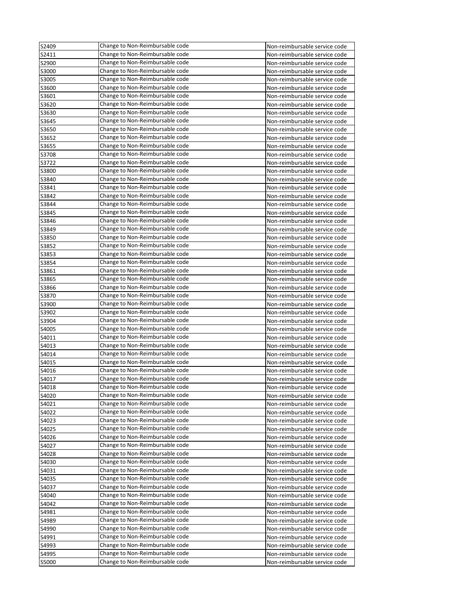| S2409          | Change to Non-Reimbursable code                                    | Non-reimbursable service code                                  |
|----------------|--------------------------------------------------------------------|----------------------------------------------------------------|
| S2411          | Change to Non-Reimbursable code                                    | Non-reimbursable service code                                  |
| S2900          | Change to Non-Reimbursable code                                    | Non-reimbursable service code                                  |
| S3000          | Change to Non-Reimbursable code                                    | Non-reimbursable service code                                  |
| S3005          | Change to Non-Reimbursable code                                    | Non-reimbursable service code                                  |
| S3600          | Change to Non-Reimbursable code                                    | Non-reimbursable service code                                  |
| S3601          | Change to Non-Reimbursable code                                    | Non-reimbursable service code                                  |
| S3620          | Change to Non-Reimbursable code                                    | Non-reimbursable service code                                  |
| S3630          | Change to Non-Reimbursable code                                    | Non-reimbursable service code                                  |
| S3645          | Change to Non-Reimbursable code                                    | Non-reimbursable service code                                  |
| S3650          | Change to Non-Reimbursable code                                    | Non-reimbursable service code                                  |
| S3652          | Change to Non-Reimbursable code                                    | Non-reimbursable service code                                  |
| S3655          | Change to Non-Reimbursable code                                    | Non-reimbursable service code                                  |
| S3708          | Change to Non-Reimbursable code                                    | Non-reimbursable service code                                  |
| S3722          | Change to Non-Reimbursable code                                    | Non-reimbursable service code                                  |
| S3800          | Change to Non-Reimbursable code                                    | Non-reimbursable service code                                  |
| S3840          | Change to Non-Reimbursable code                                    | Non-reimbursable service code                                  |
| S3841          | Change to Non-Reimbursable code                                    | Non-reimbursable service code                                  |
| S3842          | Change to Non-Reimbursable code                                    | Non-reimbursable service code                                  |
| S3844          | Change to Non-Reimbursable code                                    | Non-reimbursable service code                                  |
| S3845          | Change to Non-Reimbursable code                                    | Non-reimbursable service code                                  |
| S3846          | Change to Non-Reimbursable code                                    | Non-reimbursable service code                                  |
| S3849          | Change to Non-Reimbursable code                                    | Non-reimbursable service code                                  |
| S3850          | Change to Non-Reimbursable code                                    | Non-reimbursable service code                                  |
| S3852          | Change to Non-Reimbursable code                                    | Non-reimbursable service code                                  |
| S3853          | Change to Non-Reimbursable code                                    | Non-reimbursable service code                                  |
| S3854          | Change to Non-Reimbursable code                                    | Non-reimbursable service code                                  |
| S3861          | Change to Non-Reimbursable code                                    | Non-reimbursable service code                                  |
| S3865          | Change to Non-Reimbursable code                                    | Non-reimbursable service code                                  |
| S3866          | Change to Non-Reimbursable code                                    | Non-reimbursable service code                                  |
| S3870          | Change to Non-Reimbursable code                                    | Non-reimbursable service code                                  |
| S3900          | Change to Non-Reimbursable code                                    | Non-reimbursable service code                                  |
| S3902          | Change to Non-Reimbursable code                                    | Non-reimbursable service code                                  |
| S3904          | Change to Non-Reimbursable code                                    | Non-reimbursable service code                                  |
| S4005          | Change to Non-Reimbursable code                                    | Non-reimbursable service code                                  |
| S4011          | Change to Non-Reimbursable code                                    | Non-reimbursable service code                                  |
| S4013          | Change to Non-Reimbursable code                                    | Non-reimbursable service code                                  |
| S4014          | Change to Non-Reimbursable code                                    | Non-reimbursable service code                                  |
| S4015          | Change to Non-Reimbursable code                                    | Non-reimbursable service code                                  |
| S4016          | Change to Non-Reimbursable code                                    | Non-reimbursable service code                                  |
| S4017          | Change to Non-Reimbursable code                                    | Non-reimbursable service code                                  |
| S4018          | Change to Non-Reimbursable code                                    | Non-reimbursable service code                                  |
| S4020          | Change to Non-Reimbursable code                                    | Non-reimbursable service code                                  |
| S4021          | Change to Non-Reimbursable code                                    | Non-reimbursable service code                                  |
| S4022          | Change to Non-Reimbursable code                                    | Non-reimbursable service code                                  |
| S4023          | Change to Non-Reimbursable code                                    | Non-reimbursable service code                                  |
| S4025          | Change to Non-Reimbursable code<br>Change to Non-Reimbursable code | Non-reimbursable service code                                  |
| S4026          | Change to Non-Reimbursable code                                    | Non-reimbursable service code                                  |
| S4027          |                                                                    | Non-reimbursable service code                                  |
| S4028          | Change to Non-Reimbursable code<br>Change to Non-Reimbursable code | Non-reimbursable service code                                  |
| S4030          | Change to Non-Reimbursable code                                    | Non-reimbursable service code                                  |
| S4031          | Change to Non-Reimbursable code                                    | Non-reimbursable service code                                  |
| S4035<br>S4037 | Change to Non-Reimbursable code                                    | Non-reimbursable service code<br>Non-reimbursable service code |
| S4040          | Change to Non-Reimbursable code                                    |                                                                |
| S4042          | Change to Non-Reimbursable code                                    | Non-reimbursable service code<br>Non-reimbursable service code |
| S4981          | Change to Non-Reimbursable code                                    | Non-reimbursable service code                                  |
| S4989          | Change to Non-Reimbursable code                                    | Non-reimbursable service code                                  |
| S4990          | Change to Non-Reimbursable code                                    | Non-reimbursable service code                                  |
| S4991          | Change to Non-Reimbursable code                                    | Non-reimbursable service code                                  |
| S4993          | Change to Non-Reimbursable code                                    | Non-reimbursable service code                                  |
| S4995          | Change to Non-Reimbursable code                                    | Non-reimbursable service code                                  |
| S5000          | Change to Non-Reimbursable code                                    | Non-reimbursable service code                                  |
|                |                                                                    |                                                                |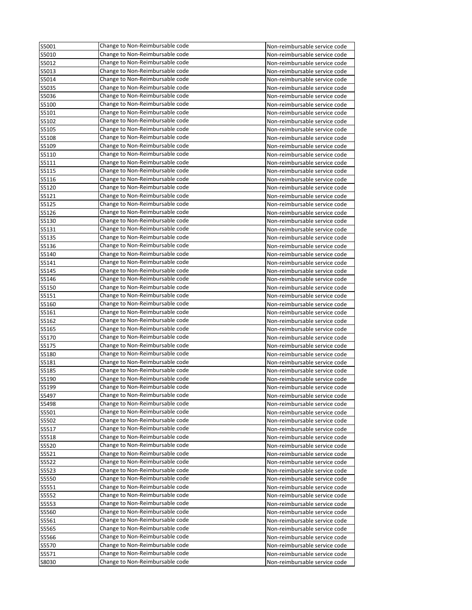| S5001 | Change to Non-Reimbursable code | Non-reimbursable service code |
|-------|---------------------------------|-------------------------------|
| S5010 | Change to Non-Reimbursable code | Non-reimbursable service code |
| S5012 | Change to Non-Reimbursable code | Non-reimbursable service code |
| S5013 | Change to Non-Reimbursable code | Non-reimbursable service code |
| S5014 | Change to Non-Reimbursable code | Non-reimbursable service code |
| S5035 | Change to Non-Reimbursable code | Non-reimbursable service code |
| S5036 | Change to Non-Reimbursable code | Non-reimbursable service code |
| S5100 | Change to Non-Reimbursable code | Non-reimbursable service code |
| S5101 | Change to Non-Reimbursable code | Non-reimbursable service code |
| S5102 | Change to Non-Reimbursable code | Non-reimbursable service code |
| S5105 | Change to Non-Reimbursable code | Non-reimbursable service code |
| S5108 | Change to Non-Reimbursable code | Non-reimbursable service code |
| S5109 | Change to Non-Reimbursable code | Non-reimbursable service code |
| S5110 | Change to Non-Reimbursable code | Non-reimbursable service code |
| S5111 | Change to Non-Reimbursable code | Non-reimbursable service code |
| S5115 | Change to Non-Reimbursable code | Non-reimbursable service code |
| S5116 | Change to Non-Reimbursable code | Non-reimbursable service code |
| S5120 | Change to Non-Reimbursable code | Non-reimbursable service code |
| S5121 | Change to Non-Reimbursable code | Non-reimbursable service code |
| S5125 | Change to Non-Reimbursable code | Non-reimbursable service code |
| S5126 | Change to Non-Reimbursable code | Non-reimbursable service code |
| S5130 | Change to Non-Reimbursable code | Non-reimbursable service code |
| S5131 | Change to Non-Reimbursable code | Non-reimbursable service code |
| S5135 | Change to Non-Reimbursable code | Non-reimbursable service code |
|       | Change to Non-Reimbursable code |                               |
| S5136 | Change to Non-Reimbursable code | Non-reimbursable service code |
| S5140 |                                 | Non-reimbursable service code |
| S5141 | Change to Non-Reimbursable code | Non-reimbursable service code |
| S5145 | Change to Non-Reimbursable code | Non-reimbursable service code |
| S5146 | Change to Non-Reimbursable code | Non-reimbursable service code |
| S5150 | Change to Non-Reimbursable code | Non-reimbursable service code |
| S5151 | Change to Non-Reimbursable code | Non-reimbursable service code |
| S5160 | Change to Non-Reimbursable code | Non-reimbursable service code |
| S5161 | Change to Non-Reimbursable code | Non-reimbursable service code |
| S5162 | Change to Non-Reimbursable code | Non-reimbursable service code |
| S5165 | Change to Non-Reimbursable code | Non-reimbursable service code |
| S5170 | Change to Non-Reimbursable code | Non-reimbursable service code |
| S5175 | Change to Non-Reimbursable code | Non-reimbursable service code |
| S5180 | Change to Non-Reimbursable code | Non-reimbursable service code |
| S5181 | Change to Non-Reimbursable code | Non-reimbursable service code |
| S5185 | Change to Non-Reimbursable code | Non-reimbursable service code |
| S5190 | Change to Non-Reimbursable code | Non-reimbursable service code |
| S5199 | Change to Non-Reimbursable code | Non-reimbursable service code |
| S5497 | Change to Non-Reimbursable code | Non-reimbursable service code |
| S5498 | Change to Non-Reimbursable code | Non-reimbursable service code |
| S5501 | Change to Non-Reimbursable code | Non-reimbursable service code |
| S5502 | Change to Non-Reimbursable code | Non-reimbursable service code |
| S5517 | Change to Non-Reimbursable code | Non-reimbursable service code |
| S5518 | Change to Non-Reimbursable code | Non-reimbursable service code |
| S5520 | Change to Non-Reimbursable code | Non-reimbursable service code |
| S5521 | Change to Non-Reimbursable code | Non-reimbursable service code |
| S5522 | Change to Non-Reimbursable code | Non-reimbursable service code |
| S5523 | Change to Non-Reimbursable code | Non-reimbursable service code |
| S5550 | Change to Non-Reimbursable code | Non-reimbursable service code |
| S5551 | Change to Non-Reimbursable code | Non-reimbursable service code |
| S5552 | Change to Non-Reimbursable code | Non-reimbursable service code |
| S5553 | Change to Non-Reimbursable code | Non-reimbursable service code |
| S5560 | Change to Non-Reimbursable code | Non-reimbursable service code |
| S5561 | Change to Non-Reimbursable code | Non-reimbursable service code |
| S5565 | Change to Non-Reimbursable code | Non-reimbursable service code |
| S5566 | Change to Non-Reimbursable code | Non-reimbursable service code |
| S5570 | Change to Non-Reimbursable code | Non-reimbursable service code |
| S5571 | Change to Non-Reimbursable code | Non-reimbursable service code |
| S8030 | Change to Non-Reimbursable code | Non-reimbursable service code |
|       |                                 |                               |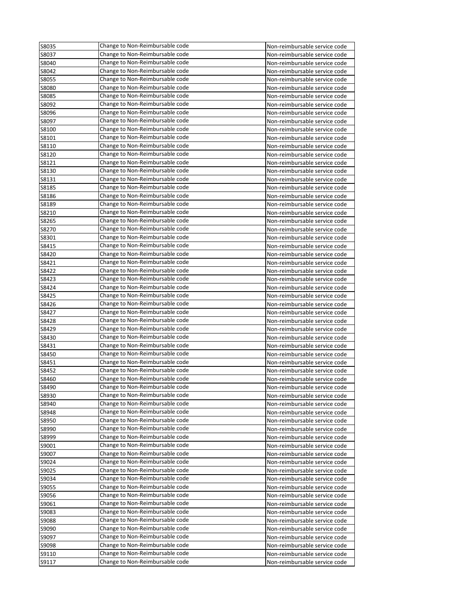| S8035          | Change to Non-Reimbursable code | Non-reimbursable service code |
|----------------|---------------------------------|-------------------------------|
| S8037          | Change to Non-Reimbursable code | Non-reimbursable service code |
| S8040          | Change to Non-Reimbursable code | Non-reimbursable service code |
| S8042          | Change to Non-Reimbursable code | Non-reimbursable service code |
| S8055          | Change to Non-Reimbursable code | Non-reimbursable service code |
| S8080          | Change to Non-Reimbursable code | Non-reimbursable service code |
| S8085          | Change to Non-Reimbursable code | Non-reimbursable service code |
| S8092          | Change to Non-Reimbursable code | Non-reimbursable service code |
| S8096          | Change to Non-Reimbursable code | Non-reimbursable service code |
| S8097          | Change to Non-Reimbursable code | Non-reimbursable service code |
| S8100          | Change to Non-Reimbursable code | Non-reimbursable service code |
| S8101          | Change to Non-Reimbursable code | Non-reimbursable service code |
| S8110          | Change to Non-Reimbursable code | Non-reimbursable service code |
| S8120          | Change to Non-Reimbursable code | Non-reimbursable service code |
| S8121          | Change to Non-Reimbursable code | Non-reimbursable service code |
| S8130          | Change to Non-Reimbursable code | Non-reimbursable service code |
| S8131          | Change to Non-Reimbursable code | Non-reimbursable service code |
| S8185          | Change to Non-Reimbursable code | Non-reimbursable service code |
| S8186          | Change to Non-Reimbursable code | Non-reimbursable service code |
| S8189          | Change to Non-Reimbursable code | Non-reimbursable service code |
| S8210          | Change to Non-Reimbursable code | Non-reimbursable service code |
| S8265          | Change to Non-Reimbursable code | Non-reimbursable service code |
| S8270          | Change to Non-Reimbursable code | Non-reimbursable service code |
| S8301          | Change to Non-Reimbursable code | Non-reimbursable service code |
| S8415          | Change to Non-Reimbursable code | Non-reimbursable service code |
| S8420          | Change to Non-Reimbursable code | Non-reimbursable service code |
| S8421          | Change to Non-Reimbursable code | Non-reimbursable service code |
| S8422          | Change to Non-Reimbursable code | Non-reimbursable service code |
| S8423          | Change to Non-Reimbursable code | Non-reimbursable service code |
| S8424          | Change to Non-Reimbursable code | Non-reimbursable service code |
| S8425          | Change to Non-Reimbursable code |                               |
|                | Change to Non-Reimbursable code | Non-reimbursable service code |
| S8426<br>S8427 | Change to Non-Reimbursable code | Non-reimbursable service code |
|                | Change to Non-Reimbursable code | Non-reimbursable service code |
| S8428          |                                 | Non-reimbursable service code |
| S8429          | Change to Non-Reimbursable code | Non-reimbursable service code |
| S8430          | Change to Non-Reimbursable code | Non-reimbursable service code |
| S8431          | Change to Non-Reimbursable code | Non-reimbursable service code |
| S8450          | Change to Non-Reimbursable code | Non-reimbursable service code |
| S8451          | Change to Non-Reimbursable code | Non-reimbursable service code |
| S8452          | Change to Non-Reimbursable code | Non-reimbursable service code |
| S8460          | Change to Non-Reimbursable code | Non-reimbursable service code |
| S8490          | Change to Non-Reimbursable code | Non-reimbursable service code |
| S8930          | Change to Non-Reimbursable code | Non-reimbursable service code |
| S8940          | Change to Non-Reimbursable code | Non-reimbursable service code |
| S8948          | Change to Non-Reimbursable code | Non-reimbursable service code |
| S8950          | Change to Non-Reimbursable code | Non-reimbursable service code |
| S8990          | Change to Non-Reimbursable code | Non-reimbursable service code |
| S8999          | Change to Non-Reimbursable code | Non-reimbursable service code |
| S9001          | Change to Non-Reimbursable code | Non-reimbursable service code |
| S9007          | Change to Non-Reimbursable code | Non-reimbursable service code |
| S9024          | Change to Non-Reimbursable code | Non-reimbursable service code |
| S9025          | Change to Non-Reimbursable code | Non-reimbursable service code |
| S9034          | Change to Non-Reimbursable code | Non-reimbursable service code |
| S9055          | Change to Non-Reimbursable code | Non-reimbursable service code |
| S9056          | Change to Non-Reimbursable code | Non-reimbursable service code |
| S9061          | Change to Non-Reimbursable code | Non-reimbursable service code |
| S9083          | Change to Non-Reimbursable code | Non-reimbursable service code |
| S9088          | Change to Non-Reimbursable code | Non-reimbursable service code |
| S9090          | Change to Non-Reimbursable code | Non-reimbursable service code |
| S9097          | Change to Non-Reimbursable code | Non-reimbursable service code |
| S9098          | Change to Non-Reimbursable code | Non-reimbursable service code |
| S9110          | Change to Non-Reimbursable code | Non-reimbursable service code |
| S9117          | Change to Non-Reimbursable code | Non-reimbursable service code |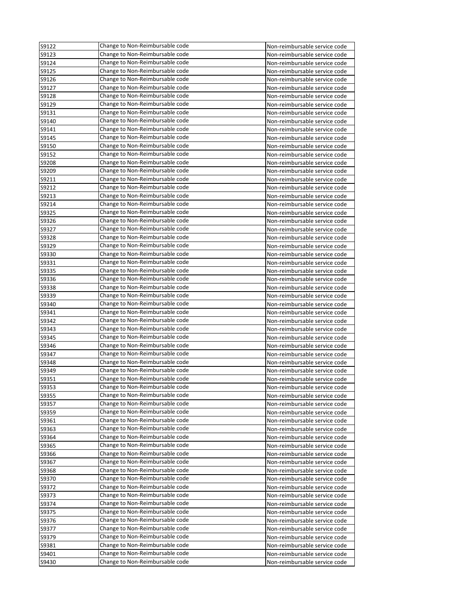| S9122          | Change to Non-Reimbursable code | Non-reimbursable service code |
|----------------|---------------------------------|-------------------------------|
| S9123          | Change to Non-Reimbursable code | Non-reimbursable service code |
| S9124          | Change to Non-Reimbursable code | Non-reimbursable service code |
| S9125          | Change to Non-Reimbursable code | Non-reimbursable service code |
| S9126          | Change to Non-Reimbursable code | Non-reimbursable service code |
| S9127          | Change to Non-Reimbursable code | Non-reimbursable service code |
| S9128          | Change to Non-Reimbursable code | Non-reimbursable service code |
| S9129          | Change to Non-Reimbursable code | Non-reimbursable service code |
| S9131          | Change to Non-Reimbursable code | Non-reimbursable service code |
| S9140          | Change to Non-Reimbursable code | Non-reimbursable service code |
| S9141          | Change to Non-Reimbursable code | Non-reimbursable service code |
| S9145          | Change to Non-Reimbursable code | Non-reimbursable service code |
| S9150          | Change to Non-Reimbursable code | Non-reimbursable service code |
| S9152          | Change to Non-Reimbursable code | Non-reimbursable service code |
| S9208          | Change to Non-Reimbursable code | Non-reimbursable service code |
| S9209          | Change to Non-Reimbursable code | Non-reimbursable service code |
| S9211          | Change to Non-Reimbursable code | Non-reimbursable service code |
| S9212          | Change to Non-Reimbursable code | Non-reimbursable service code |
| S9213          | Change to Non-Reimbursable code | Non-reimbursable service code |
| S9214          | Change to Non-Reimbursable code | Non-reimbursable service code |
| S9325          | Change to Non-Reimbursable code | Non-reimbursable service code |
| S9326          | Change to Non-Reimbursable code | Non-reimbursable service code |
| S9327          | Change to Non-Reimbursable code | Non-reimbursable service code |
| S9328          | Change to Non-Reimbursable code | Non-reimbursable service code |
| S9329          | Change to Non-Reimbursable code | Non-reimbursable service code |
| S9330          | Change to Non-Reimbursable code | Non-reimbursable service code |
| S9331          | Change to Non-Reimbursable code | Non-reimbursable service code |
| S9335          | Change to Non-Reimbursable code | Non-reimbursable service code |
| S9336          | Change to Non-Reimbursable code | Non-reimbursable service code |
| S9338          | Change to Non-Reimbursable code | Non-reimbursable service code |
|                | Change to Non-Reimbursable code |                               |
| S9339          | Change to Non-Reimbursable code | Non-reimbursable service code |
| S9340<br>S9341 | Change to Non-Reimbursable code | Non-reimbursable service code |
|                | Change to Non-Reimbursable code | Non-reimbursable service code |
| S9342          |                                 | Non-reimbursable service code |
| S9343          | Change to Non-Reimbursable code | Non-reimbursable service code |
| S9345          | Change to Non-Reimbursable code | Non-reimbursable service code |
| S9346          | Change to Non-Reimbursable code | Non-reimbursable service code |
| S9347          | Change to Non-Reimbursable code | Non-reimbursable service code |
| S9348          | Change to Non-Reimbursable code | Non-reimbursable service code |
| S9349          | Change to Non-Reimbursable code | Non-reimbursable service code |
| S9351          | Change to Non-Reimbursable code | Non-reimbursable service code |
| S9353          | Change to Non-Reimbursable code | Non-reimbursable service code |
| S9355          | Change to Non-Reimbursable code | Non-reimbursable service code |
| S9357          | Change to Non-Reimbursable code | Non-reimbursable service code |
| S9359          | Change to Non-Reimbursable code | Non-reimbursable service code |
| S9361          | Change to Non-Reimbursable code | Non-reimbursable service code |
| S9363          | Change to Non-Reimbursable code | Non-reimbursable service code |
| S9364          | Change to Non-Reimbursable code | Non-reimbursable service code |
| S9365          | Change to Non-Reimbursable code | Non-reimbursable service code |
| S9366          | Change to Non-Reimbursable code | Non-reimbursable service code |
| S9367          | Change to Non-Reimbursable code | Non-reimbursable service code |
| S9368          | Change to Non-Reimbursable code | Non-reimbursable service code |
| S9370          | Change to Non-Reimbursable code | Non-reimbursable service code |
| S9372          | Change to Non-Reimbursable code | Non-reimbursable service code |
| S9373          | Change to Non-Reimbursable code | Non-reimbursable service code |
| S9374          | Change to Non-Reimbursable code | Non-reimbursable service code |
| S9375          | Change to Non-Reimbursable code | Non-reimbursable service code |
| S9376          | Change to Non-Reimbursable code | Non-reimbursable service code |
| S9377          | Change to Non-Reimbursable code | Non-reimbursable service code |
| S9379          | Change to Non-Reimbursable code | Non-reimbursable service code |
| S9381          | Change to Non-Reimbursable code | Non-reimbursable service code |
| S9401          | Change to Non-Reimbursable code | Non-reimbursable service code |
| S9430          | Change to Non-Reimbursable code | Non-reimbursable service code |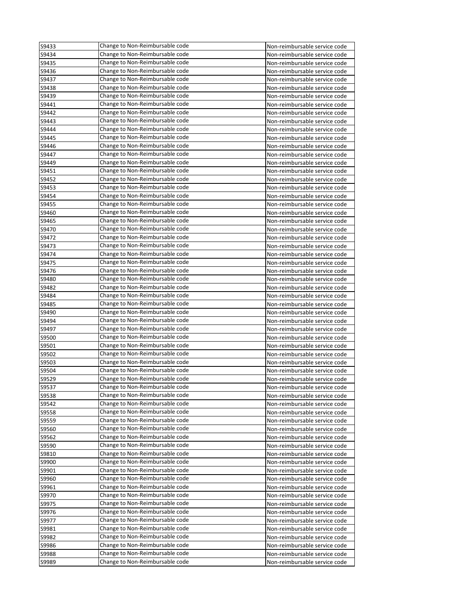| S9433 | Change to Non-Reimbursable code | Non-reimbursable service code |
|-------|---------------------------------|-------------------------------|
| S9434 | Change to Non-Reimbursable code | Non-reimbursable service code |
| S9435 | Change to Non-Reimbursable code | Non-reimbursable service code |
| S9436 | Change to Non-Reimbursable code | Non-reimbursable service code |
| S9437 | Change to Non-Reimbursable code | Non-reimbursable service code |
| S9438 | Change to Non-Reimbursable code | Non-reimbursable service code |
| S9439 | Change to Non-Reimbursable code | Non-reimbursable service code |
| S9441 | Change to Non-Reimbursable code | Non-reimbursable service code |
| S9442 | Change to Non-Reimbursable code | Non-reimbursable service code |
| S9443 | Change to Non-Reimbursable code | Non-reimbursable service code |
| S9444 | Change to Non-Reimbursable code | Non-reimbursable service code |
| S9445 | Change to Non-Reimbursable code | Non-reimbursable service code |
| S9446 | Change to Non-Reimbursable code | Non-reimbursable service code |
| S9447 | Change to Non-Reimbursable code | Non-reimbursable service code |
| S9449 | Change to Non-Reimbursable code | Non-reimbursable service code |
| S9451 | Change to Non-Reimbursable code | Non-reimbursable service code |
| S9452 | Change to Non-Reimbursable code | Non-reimbursable service code |
| S9453 | Change to Non-Reimbursable code | Non-reimbursable service code |
| S9454 | Change to Non-Reimbursable code | Non-reimbursable service code |
| S9455 | Change to Non-Reimbursable code | Non-reimbursable service code |
| S9460 | Change to Non-Reimbursable code | Non-reimbursable service code |
| S9465 | Change to Non-Reimbursable code | Non-reimbursable service code |
| S9470 | Change to Non-Reimbursable code | Non-reimbursable service code |
| S9472 | Change to Non-Reimbursable code | Non-reimbursable service code |
|       | Change to Non-Reimbursable code |                               |
| S9473 | Change to Non-Reimbursable code | Non-reimbursable service code |
| S9474 |                                 | Non-reimbursable service code |
| S9475 | Change to Non-Reimbursable code | Non-reimbursable service code |
| S9476 | Change to Non-Reimbursable code | Non-reimbursable service code |
| S9480 | Change to Non-Reimbursable code | Non-reimbursable service code |
| S9482 | Change to Non-Reimbursable code | Non-reimbursable service code |
| S9484 | Change to Non-Reimbursable code | Non-reimbursable service code |
| S9485 | Change to Non-Reimbursable code | Non-reimbursable service code |
| S9490 | Change to Non-Reimbursable code | Non-reimbursable service code |
| S9494 | Change to Non-Reimbursable code | Non-reimbursable service code |
| S9497 | Change to Non-Reimbursable code | Non-reimbursable service code |
| S9500 | Change to Non-Reimbursable code | Non-reimbursable service code |
| S9501 | Change to Non-Reimbursable code | Non-reimbursable service code |
| S9502 | Change to Non-Reimbursable code | Non-reimbursable service code |
| S9503 | Change to Non-Reimbursable code | Non-reimbursable service code |
| S9504 | Change to Non-Reimbursable code | Non-reimbursable service code |
| S9529 | Change to Non-Reimbursable code | Non-reimbursable service code |
| S9537 | Change to Non-Reimbursable code | Non-reimbursable service code |
| S9538 | Change to Non-Reimbursable code | Non-reimbursable service code |
| S9542 | Change to Non-Reimbursable code | Non-reimbursable service code |
| S9558 | Change to Non-Reimbursable code | Non-reimbursable service code |
| S9559 | Change to Non-Reimbursable code | Non-reimbursable service code |
| S9560 | Change to Non-Reimbursable code | Non-reimbursable service code |
| S9562 | Change to Non-Reimbursable code | Non-reimbursable service code |
| S9590 | Change to Non-Reimbursable code | Non-reimbursable service code |
| S9810 | Change to Non-Reimbursable code | Non-reimbursable service code |
| S9900 | Change to Non-Reimbursable code | Non-reimbursable service code |
| S9901 | Change to Non-Reimbursable code | Non-reimbursable service code |
| S9960 | Change to Non-Reimbursable code | Non-reimbursable service code |
| S9961 | Change to Non-Reimbursable code | Non-reimbursable service code |
| S9970 | Change to Non-Reimbursable code | Non-reimbursable service code |
| S9975 | Change to Non-Reimbursable code | Non-reimbursable service code |
| S9976 | Change to Non-Reimbursable code | Non-reimbursable service code |
| S9977 | Change to Non-Reimbursable code | Non-reimbursable service code |
| S9981 | Change to Non-Reimbursable code | Non-reimbursable service code |
| S9982 | Change to Non-Reimbursable code |                               |
|       | Change to Non-Reimbursable code | Non-reimbursable service code |
| S9986 |                                 | Non-reimbursable service code |
| S9988 | Change to Non-Reimbursable code | Non-reimbursable service code |
| S9989 | Change to Non-Reimbursable code | Non-reimbursable service code |